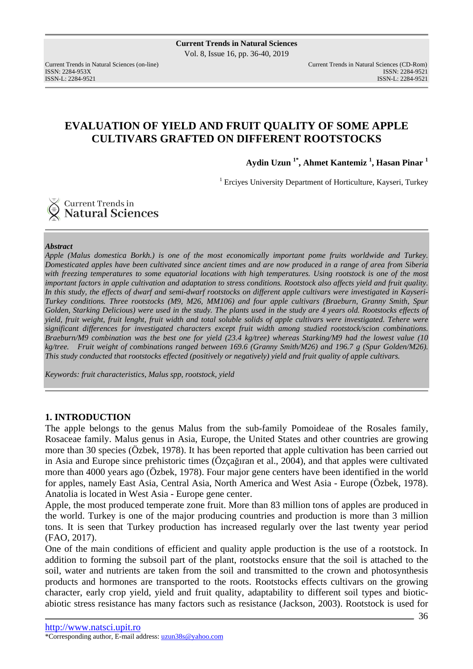# **EVALUATION OF YIELD AND FRUIT QUALITY OF SOME APPLE CULTIVARS GRAFTED ON DIFFERENT ROOTSTOCKS**

**Aydin Uzun 1\*, Ahmet Kantemiz <sup>1</sup> , Hasan Pinar <sup>1</sup>**

<sup>1</sup> Erciyes University Department of Horticulture, Kayseri, Turkey

## Current Trends in **Natural Sciences**

#### *Abstract*

*Apple (Malus domestica Borkh.) is one of the most economically important pome fruits worldwide and Turkey. Domesticated apples have been cultivated since ancient times and are now produced in a range of area from Siberia with freezing temperatures to some equatorial locations with high temperatures. Using rootstock is one of the most important factors in apple cultivation and adaptation to stress conditions. Rootstock also affects yield and fruit quality. In this study, the effects of dwarf and semi-dwarf rootstocks on different apple cultivars were investigated in Kayseri-Turkey conditions. Three rootstocks (M9, M26, MM106) and four apple cultivars (Braeburn, Granny Smith, Spur Golden, Starking Delicious) were used in the study. The plants used in the study are 4 years old. Rootstocks effects of yield, fruit weight, fruit lenght, fruit width and total soluble solids of apple cultivars were investigated. Tehere were significant differences for investigated characters except fruit width among studied rootstock/scion combinations. Braeburn/M9 combination was the best one for yield (23.4 kg/tree) whereas Starking/M9 had the lowest value (10 kg/tree. Fruit weight of combinations ranged between 169.6 (Granny Smith/M26) and 196.7 g (Spur Golden/M26). This study conducted that rootstocks effected (positively or negatively) yield and fruit quality of apple cultivars.* 

*Keywords: fruit characteristics, Malus spp, rootstock, yield* 

## **1. INTRODUCTION**

The apple belongs to the genus Malus from the sub-family Pomoideae of the Rosales family, Rosaceae family. Malus genus in Asia, Europe, the United States and other countries are growing more than 30 species (Özbek, 1978). It has been reported that apple cultivation has been carried out in Asia and Europe since prehistoric times (Özçağıran et al., 2004), and that apples were cultivated more than 4000 years ago (Özbek, 1978). Four major gene centers have been identified in the world for apples, namely East Asia, Central Asia, North America and West Asia - Europe (Özbek, 1978). Anatolia is located in West Asia - Europe gene center.

Apple, the most produced temperate zone fruit. More than 83 million tons of apples are produced in the world. Turkey is one of the major producing countries and production is more than 3 million tons. It is seen that Turkey production has increased regularly over the last twenty year period (FAO, 2017).

One of the main conditions of efficient and quality apple production is the use of a rootstock. In addition to forming the subsoil part of the plant, rootstocks ensure that the soil is attached to the soil, water and nutrients are taken from the soil and transmitted to the crown and photosynthesis products and hormones are transported to the roots. Rootstocks effects cultivars on the growing character, early crop yield, yield and fruit quality, adaptability to different soil types and bioticabiotic stress resistance has many factors such as resistance (Jackson, 2003). Rootstock is used for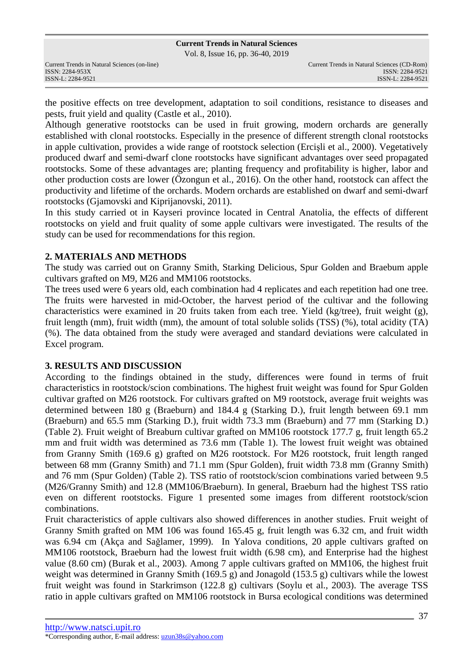Vol. 8, Issue 16, pp. 36-40, 2019

the positive effects on tree development, adaptation to soil conditions, resistance to diseases and pests, fruit yield and quality (Castle et al., 2010).

Although generative rootstocks can be used in fruit growing, modern orchards are generally established with clonal rootstocks. Especially in the presence of different strength clonal rootstocks in apple cultivation, provides a wide range of rootstock selection (Ercişli et al., 2000). Vegetatively produced dwarf and semi-dwarf clone rootstocks have significant advantages over seed propagated rootstocks. Some of these advantages are; planting frequency and profitability is higher, labor and other production costs are lower (Özongun et al., 2016). On the other hand, rootstock can affect the productivity and lifetime of the orchards. Modern orchards are established on dwarf and semi-dwarf rootstocks (Gjamovski and Kiprijanovski, 2011).

In this study carried ot in Kayseri province located in Central Anatolia, the effects of different rootstocks on yield and fruit quality of some apple cultivars were investigated. The results of the study can be used for recommendations for this region.

## **2. MATERIALS AND METHODS**

The study was carried out on Granny Smith, Starking Delicious, Spur Golden and Braebum apple cultivars grafted on M9, M26 and MM106 rootstocks.

The trees used were 6 years old, each combination had 4 replicates and each repetition had one tree. The fruits were harvested in mid-October, the harvest period of the cultivar and the following characteristics were examined in 20 fruits taken from each tree. Yield (kg/tree), fruit weight (g), fruit length (mm), fruit width (mm), the amount of total soluble solids (TSS) (%), total acidity (TA) (%). The data obtained from the study were averaged and standard deviations were calculated in Excel program.

## **3. RESULTS AND DISCUSSION**

According to the findings obtained in the study, differences were found in terms of fruit characteristics in rootstock/scion combinations. The highest fruit weight was found for Spur Golden cultivar grafted on M26 rootstock. For cultivars grafted on M9 rootstock, average fruit weights was determined between 180 g (Braeburn) and 184.4 g (Starking D.), fruit length between 69.1 mm (Braeburn) and 65.5 mm (Starking D.), fruit width 73.3 mm (Braeburn) and 77 mm (Starking D.) (Table 2). Fruit weight of Breaburn cultivar grafted on MM106 rootstock 177.7 g, fruit length 65.2 mm and fruit width was determined as 73.6 mm (Table 1). The lowest fruit weight was obtained from Granny Smith (169.6 g) grafted on M26 rootstock. For M26 rootstock, fruit length ranged between 68 mm (Granny Smith) and 71.1 mm (Spur Golden), fruit width 73.8 mm (Granny Smith) and 76 mm (Spur Golden) (Table 2). TSS ratio of rootstock/scion combinations varied between 9.5 (M26/Granny Smith) and 12.8 (MM106/Braeburn). In general, Braeburn had the highest TSS ratio even on different rootstocks. Figure 1 presented some images from different rootstock/scion combinations.

Fruit characteristics of apple cultivars also showed differences in another studies. Fruit weight of Granny Smith grafted on MM 106 was found 165.45 g, fruit length was 6.32 cm, and fruit width was 6.94 cm (Akça and Sağlamer, 1999). In Yalova conditions, 20 apple cultivars grafted on MM106 rootstock, Braeburn had the lowest fruit width (6.98 cm), and Enterprise had the highest value (8.60 cm) (Burak et al., 2003). Among 7 apple cultivars grafted on MM106, the highest fruit weight was determined in Granny Smith (169.5 g) and Jonagold (153.5 g) cultivars while the lowest fruit weight was found in Starkrimson (122.8 g) cultivars (Soylu et al., 2003). The average TSS ratio in apple cultivars grafted on MM106 rootstock in Bursa ecological conditions was determined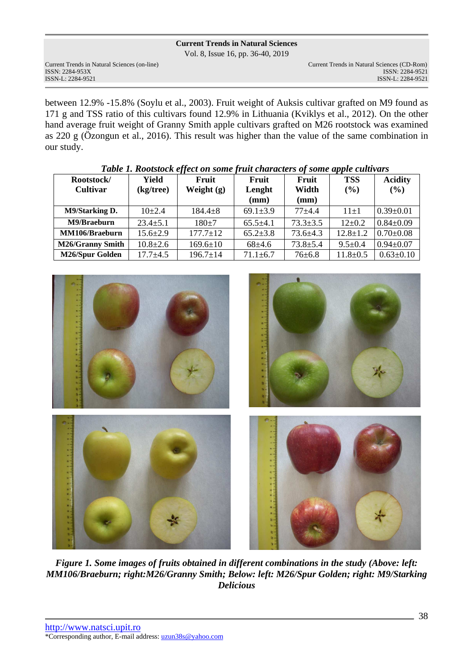Vol. 8, Issue 16, pp. 36-40, 2019

Current Trends in Natural Sciences (on-line) Current Trends in Natural Sciences (CD-Rom)

between 12.9% -15.8% (Soylu et al., 2003). Fruit weight of Auksis cultivar grafted on M9 found as 171 g and TSS ratio of this cultivars found 12.9% in Lithuania (Kviklys et al., 2012). On the other hand average fruit weight of Granny Smith apple cultivars grafted on M26 rootstock was examined as 220 g (Özongun et al., 2016). This result was higher than the value of the same combination in our study.

| Rootstock/              | Yield          | Fruit          | Fruit          | Fruit          | <b>TSS</b>     | <b>Acidity</b>  |
|-------------------------|----------------|----------------|----------------|----------------|----------------|-----------------|
| <b>Cultivar</b>         | (kg/tree)      | Weight $(g)$   | Lenght         | Width          | $($ %)         | (%)             |
|                         |                |                | (mm)           | (mm)           |                |                 |
| <b>M9/Starking D.</b>   | $10+2.4$       | $184.4 + 8$    | $69.1 \pm 3.9$ | $77 + 4.4$     | $11+1$         | $0.39 \pm 0.01$ |
| M9/Braeburn             | $23.4 + 5.1$   | $180+7$        | $65.5 \pm 4.1$ | $73.3 + 3.5$   | $12\pm0.2$     | $0.84 \pm 0.09$ |
| MM106/Braeburn          | $15.6 \pm 2.9$ | $177.7 \pm 12$ | $65.2 \pm 3.8$ | $73.6 \pm 4.3$ | $12.8 \pm 1.2$ | $0.70 \pm 0.08$ |
| <b>M26/Granny Smith</b> | $10.8 \pm 2.6$ | $169.6 \pm 10$ | $68+4.6$       | $73.8 + 5.4$   | $9.5 \pm 0.4$  | $0.94 \pm 0.07$ |
| M26/Spur Golden         | $17.7 + 4.5$   | $196.7 \pm 14$ | $71.1 \pm 6.7$ | $76 \pm 6.8$   | $11.8 \pm 0.5$ | $0.63 \pm 0.10$ |

*Table 1. Rootstock effect on some fruit characters of some apple cultivars* 



*Figure 1. Some images of fruits obtained in different combinations in the study (Above: left: MM106/Braeburn; right:M26/Granny Smith; Below: left: M26/Spur Golden; right: M9/Starking Delicious*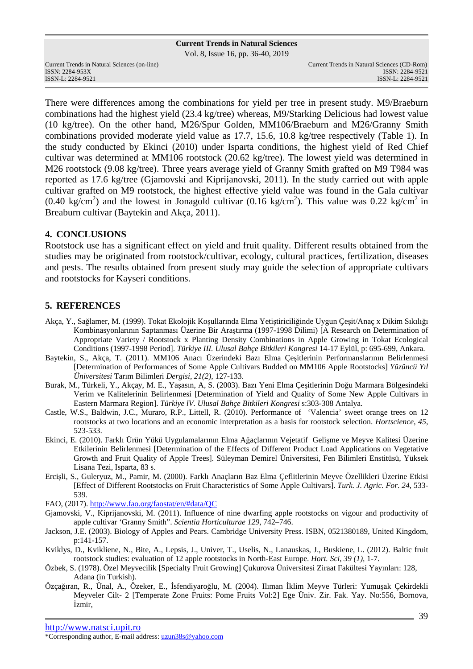Vol. 8, Issue 16, pp. 36-40, 2019

Current Trends in Natural Sciences (on-line) Current Trends in Natural Sciences (CD-Rom)

There were differences among the combinations for yield per tree in present study. M9/Braeburn combinations had the highest yield (23.4 kg/tree) whereas, M9/Starking Delicious had lowest value (10 kg/tree). On the other hand, M26/Spur Golden, MM106/Braeburn and M26/Granny Smith combinations provided moderate yield value as 17.7, 15.6, 10.8 kg/tree respectively (Table 1). In the study conducted by Ekinci (2010) under Isparta conditions, the highest yield of Red Chief cultivar was determined at MM106 rootstock (20.62 kg/tree). The lowest yield was determined in M26 rootstock (9.08 kg/tree). Three years average yield of Granny Smith grafted on M9 T984 was reported as 17.6 kg/tree (Gjamovski and Kiprijanovski, 2011). In the study carried out with apple cultivar grafted on M9 rootstock, the highest effective yield value was found in the Gala cultivar  $(0.40 \text{ kg/cm}^2)$  and the lowest in Jonagold cultivar  $(0.16 \text{ kg/cm}^2)$ . This value was  $0.22 \text{ kg/cm}^2$  in Breaburn cultivar (Baytekin and Akça, 2011).

## **4. CONCLUSIONS**

Rootstock use has a significant effect on yield and fruit quality. Different results obtained from the studies may be originated from rootstock/cultivar, ecology, cultural practices, fertilization, diseases and pests. The results obtained from present study may guide the selection of appropriate cultivars and rootstocks for Kayseri conditions.

## **5. REFERENCES**

- Akça, Y., Sağlamer, M. (1999). Tokat Ekolojik Koşullarında Elma Yetiştiriciliğinde Uygun Çeşit/Anaç x Dikim Sıkılığı Kombinasyonlarının Saptanması Üzerine Bir Araştırma (1997-1998 Dilimi) [A Research on Determination of Appropriate Variety / Rootstock x Planting Density Combinations in Apple Growing in Tokat Ecological Conditions (1997-1998 Period]. *Türkiye III. Ulusal Bahçe Bitkileri Kongresi* 14-17 Eylül, p: 695-699, Ankara.
- Baytekin, S., Akça, T. (2011). MM106 Anacı Üzerindeki Bazı Elma Çeşitlerinin Performanslarının Belirlenmesi [Determination of Performances of Some Apple Cultivars Budded on MM106 Apple Rootstocks] *Yüzüncü Yıl Üniversitesi* Tarım Bilimleri *Dergisi*, *21(2),* 127-133.
- Burak, M., Türkeli, Y., Akçay, M. E., Yaşasın, A, S. (2003). Bazı Yeni Elma Çeşitlerinin Doğu Marmara Bölgesindeki Verim ve Kalitelerinin Belirlenmesi [Determination of Yield and Quality of Some New Apple Cultivars in Eastern Marmara Region]. *Türkiye lV. Ulusal Bahçe Bitkileri Kongresi* s:303-308 Antalya.
- Castle, W.S., Baldwin, J.C., Muraro, R.P., Littell, R. (2010). Performance of 'Valencia' sweet orange trees on 12 rootstocks at two locations and an economic interpretation as a basis for rootstock selection. *Hortscience*, *45*, 523-533.
- Ekinci, E. (2010). Farklı Ürün Yükü Uygulamalarının Elma Ağaçlarının Vejetatif Gelişme ve Meyve Kalitesi Üzerine Etkilerinin Belirlenmesi [Determination of the Effects of Different Product Load Applications on Vegetative Growth and Fruit Quality of Apple Trees]. Süleyman Demirel Üniversitesi, Fen Bilimleri Enstitüsü, Yüksek Lisana Tezi, Isparta, 83 s.
- Ercişli, S., Guleryuz, M., Pamir, M. (2000). Farklı Anaçların Baz Elma Çeflitlerinin Meyve Özellikleri Üzerine Etkisi [Effect of Different Rootstocks on Fruit Characteristics of Some Apple Cultivars]. *Turk. J. Agric. For*. *24*, 533- 539.
- FAO, (2017). http://www.fao.org/faostat/en/#data/QC
- Gjamovski, V., Kiprijanovski, M. (2011). Influence of nine dwarfing apple rootstocks on vigour and productivity of apple cultivar 'Granny Smith". *Scientia Horticulturae 129*, 742–746.
- Jackson, J.E. (2003). Biology of Apples and Pears. Cambridge University Press. ISBN, 0521380189, United Kingdom, p:141-157.
- Kviklys, D., Kvikliene, N., Bite, A., Lepsis, J., Univer, T., Uselis, N., Lanauskas, J., Buskiene, L. (2012). Baltic fruit rootstock studies: evaluation of 12 apple rootstocks in North-East Europe. *Hort. Sci, 39 (1),* 1-7.
- Özbek, S. (1978). Özel Meyvecilik [Specialty Fruit Growing] Çukurova Üniversitesi Ziraat Fakültesi Yayınları: 128, Adana (in Turkish).
- Özçağıran, R., Ünal, A., Özeker, E., İsfendiyaroğlu, M. (2004). Ilıman İklim Meyve Türleri: Yumuşak Çekirdekli Meyveler Cilt- 2 [Temperate Zone Fruits: Pome Fruits Vol:2] Ege Üniv. Zir. Fak. Yay. No:556, Bornova, İzmir,